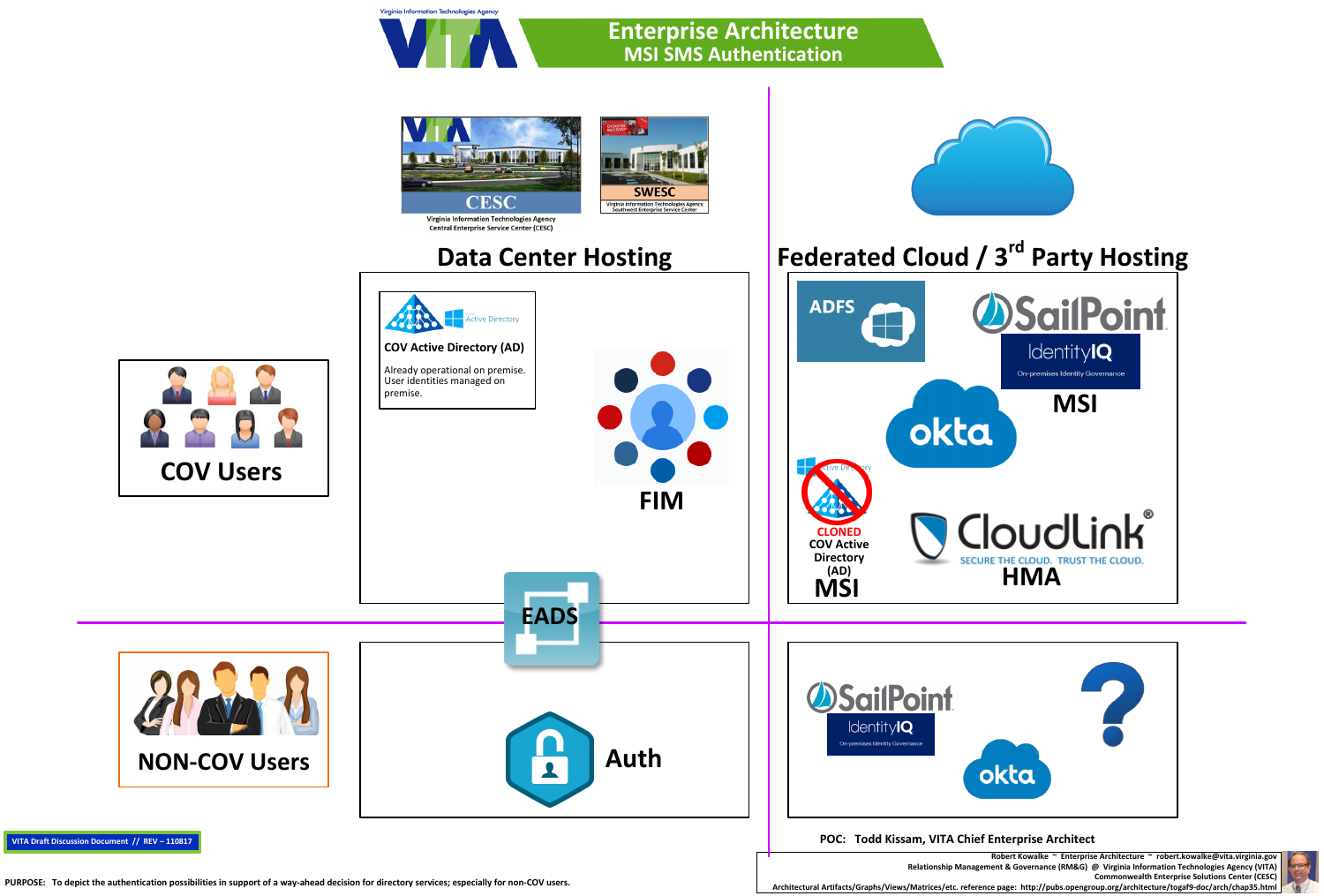## Virginia Information Technologies Agency **Enterprise Architecture MSI SMS Authentication**



**Robert Kowalke ~ Enterprise Architecture ~ robert.kowalke@vita.virginia.gov Relationship Management & Governance (RM&G) @ Virginia Information Technologies Agency (VITA) Commonwealth Enterprise Solutions Center (CESC)** PURPOSE: To depict the authentication possibilities in support of a way-ahead decision for directory services; especially for non-COV users.<br>Architectural Artifacts/Graphs/Views/Matrices/etc. reference page: http://pubs.op